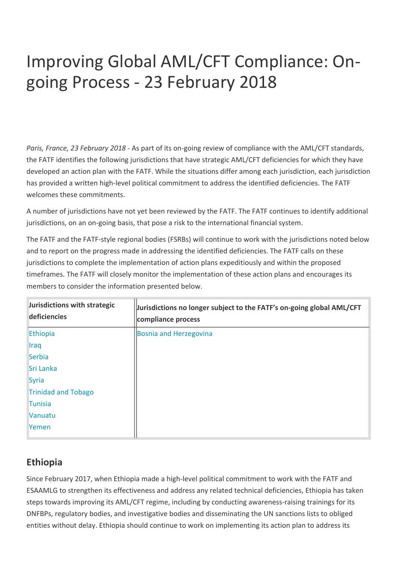# Improving Global AML/CFT Compliance: Ongoing Process - 23 February 2018

*Paris, France, 23 February 2018* - As part of its on-going review of compliance with the AML/CFT standards, the FATF identifies the following jurisdictions that have strategic AML/CFT deficiencies for which they have developed an action plan with the FATF. While the situations differ among each jurisdiction, each jurisdiction has provided a written high-level political commitment to address the identified deficiencies. The FATF welcomes these commitments.

A number of jurisdictions have not yet been reviewed by the FATF. The FATF continues to identify additional jurisdictions, on an on-going basis, that pose a risk to the international financial system.

The FATF and the FATF-style regional bodies (FSRBs) will continue to work with the jurisdictions noted below and to report on the progress made in addressing the identified deficiencies. The FATF calls on these jurisdictions to complete the implementation of action plans expeditiously and within the proposed timeframes. The FATF will closely monitor the implementation of these action plans and encourages its members to consider the information presented below.

| Jurisdictions with strategic<br>deficiencies | Jurisdictions no longer subject to the FATF's on-going global AML/CFT<br>compliance process |
|----------------------------------------------|---------------------------------------------------------------------------------------------|
| Ethiopia                                     | Bosnia and Herzegovina                                                                      |
| <b>Iraq</b>                                  |                                                                                             |
| Serbia                                       |                                                                                             |
| Sri Lanka                                    |                                                                                             |
| Syria                                        |                                                                                             |
| <b>Trinidad and Tobago</b>                   |                                                                                             |
| <b>Tunisia</b>                               |                                                                                             |
| Vanuatu                                      |                                                                                             |
| Yemen                                        |                                                                                             |

# **Ethiopia**

Since February 2017, when Ethiopia made a high-level political commitment to work with the FATF and ESAAMLG to strengthen its effectiveness and address any related technical deficiencies, Ethiopia has taken steps towards improving its AML/CFT regime, including by conducting awareness-raising trainings for its DNFBPs, regulatory bodies, and investigative bodies and disseminating the UN sanctions lists to obliged entities without delay. Ethiopia should continue to work on implementing its action plan to address its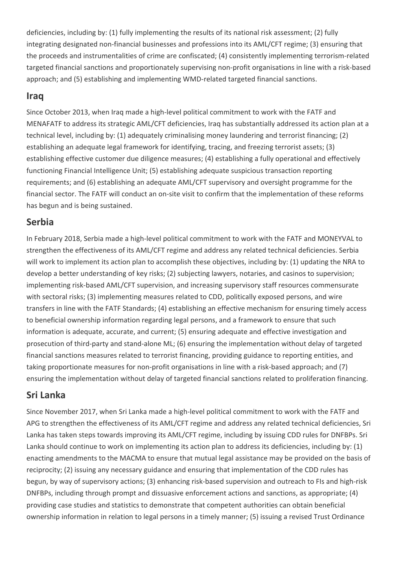deficiencies, including by: (1) fully implementing the results of its national risk assessment; (2) fully integrating designated non-financial businesses and professions into its AML/CFT regime; (3) ensuring that the proceeds and instrumentalities of crime are confiscated; (4) consistently implementing terrorism-related targeted financial sanctions and proportionately supervising non-profit organisations in line with a risk-based approach; and (5) establishing and implementing WMD-related targeted financial sanctions.

#### **Iraq**

Since October 2013, when Iraq made a high-level political commitment to work with the FATF and MENAFATF to address its strategic AML/CFT deficiencies, Iraq has substantially addressed its action plan at a technical level, including by: (1) adequately criminalising money laundering and terrorist financing; (2) establishing an adequate legal framework for identifying, tracing, and freezing terrorist assets; (3) establishing effective customer due diligence measures; (4) establishing a fully operational and effectively functioning Financial Intelligence Unit; (5) establishing adequate suspicious transaction reporting requirements; and (6) establishing an adequate AML/CFT supervisory and oversight programme for the financial sector. The FATF will conduct an on-site visit to confirm that the implementation of these reforms has begun and is being sustained.

# **Serbia**

In February 2018, Serbia made a high-level political commitment to work with the FATF and MONEYVAL to strengthen the effectiveness of its AML/CFT regime and address any related technical deficiencies. Serbia will work to implement its action plan to accomplish these objectives, including by: (1) updating the NRA to develop a better understanding of key risks; (2) subjecting lawyers, notaries, and casinos to supervision; implementing risk-based AML/CFT supervision, and increasing supervisory staff resources commensurate with sectoral risks; (3) implementing measures related to CDD, politically exposed persons, and wire transfers in line with the FATF Standards; (4) establishing an effective mechanism for ensuring timely access to beneficial ownership information regarding legal persons, and a framework to ensure that such information is adequate, accurate, and current; (5) ensuring adequate and effective investigation and prosecution of third-party and stand-alone ML; (6) ensuring the implementation without delay of targeted financial sanctions measures related to terrorist financing, providing guidance to reporting entities, and taking proportionate measures for non-profit organisations in line with a risk-based approach; and (7) ensuring the implementation without delay of targeted financial sanctions related to proliferation financing.

# **Sri Lanka**

Since November 2017, when Sri Lanka made a high-level political commitment to work with the FATF and APG to strengthen the effectiveness of its AML/CFT regime and address any related technical deficiencies, Sri Lanka has taken steps towards improving its AML/CFT regime, including by issuing CDD rules for DNFBPs. Sri Lanka should continue to work on implementing its action plan to address its deficiencies, including by: (1) enacting amendments to the MACMA to ensure that mutual legal assistance may be provided on the basis of reciprocity; (2) issuing any necessary guidance and ensuring that implementation of the CDD rules has begun, by way of supervisory actions; (3) enhancing risk-based supervision and outreach to FIs and high-risk DNFBPs, including through prompt and dissuasive enforcement actions and sanctions, as appropriate; (4) providing case studies and statistics to demonstrate that competent authorities can obtain beneficial ownership information in relation to legal persons in a timely manner; (5) issuing a revised Trust Ordinance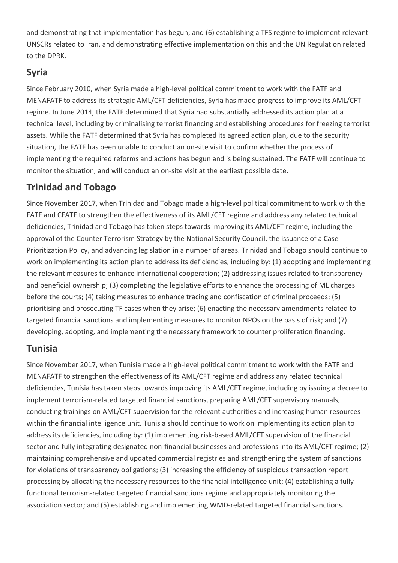and demonstrating that implementation has begun; and (6) establishing a TFS regime to implement relevant UNSCRs related to Iran, and demonstrating effective implementation on this and the UN Regulation related to the DPRK.

# **Syria**

Since February 2010, when Syria made a high-level political commitment to work with the FATF and MENAFATF to address its strategic AML/CFT deficiencies, Syria has made progress to improve its AML/CFT regime. In June 2014, the FATF determined that Syria had substantially addressed its action plan at a technical level, including by criminalising terrorist financing and establishing procedures for freezing terrorist assets. While the FATF determined that Syria has completed its agreed action plan, due to the security situation, the FATF has been unable to conduct an on-site visit to confirm whether the process of implementing the required reforms and actions has begun and is being sustained. The FATF will continue to monitor the situation, and will conduct an on-site visit at the earliest possible date.

# **Trinidad and Tobago**

Since November 2017, when Trinidad and Tobago made a high-level political commitment to work with the FATF and CFATF to strengthen the effectiveness of its AML/CFT regime and address any related technical deficiencies, Trinidad and Tobago has taken steps towards improving its AML/CFT regime, including the approval of the Counter Terrorism Strategy by the National Security Council, the issuance of a Case Prioritization Policy, and advancing legislation in a number of areas. Trinidad and Tobago should continue to work on implementing its action plan to address its deficiencies, including by: (1) adopting and implementing the relevant measures to enhance international cooperation; (2) addressing issues related to transparency and beneficial ownership; (3) completing the legislative efforts to enhance the processing of ML charges before the courts; (4) taking measures to enhance tracing and confiscation of criminal proceeds; (5) prioritising and prosecuting TF cases when they arise; (6) enacting the necessary amendments related to targeted financial sanctions and implementing measures to monitor NPOs on the basis of risk; and (7) developing, adopting, and implementing the necessary framework to counter proliferation financing.

# **Tunisia**

Since November 2017, when Tunisia made a high-level political commitment to work with the FATF and MENAFATF to strengthen the effectiveness of its AML/CFT regime and address any related technical deficiencies, Tunisia has taken steps towards improving its AML/CFT regime, including by issuing a decree to implement terrorism-related targeted financial sanctions, preparing AML/CFT supervisory manuals, conducting trainings on AML/CFT supervision for the relevant authorities and increasing human resources within the financial intelligence unit. Tunisia should continue to work on implementing its action plan to address its deficiencies, including by: (1) implementing risk-based AML/CFT supervision of the financial sector and fully integrating designated non-financial businesses and professions into its AML/CFT regime; (2) maintaining comprehensive and updated commercial registries and strengthening the system of sanctions for violations of transparency obligations; (3) increasing the efficiency of suspicious transaction report processing by allocating the necessary resources to the financial intelligence unit; (4) establishing a fully functional terrorism-related targeted financial sanctions regime and appropriately monitoring the association sector; and (5) establishing and implementing WMD-related targeted financial sanctions.